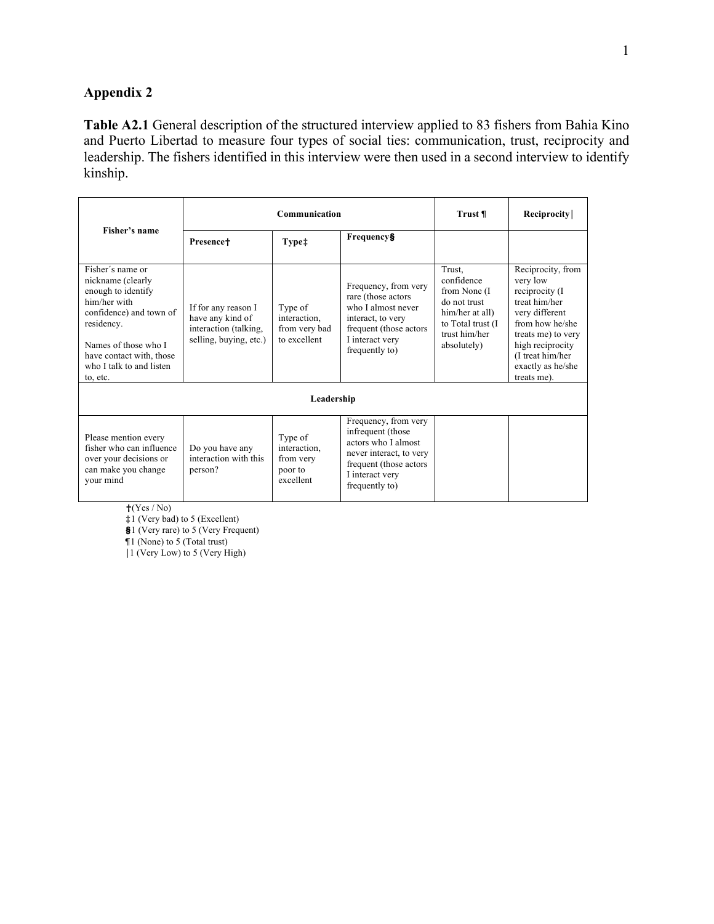## **Appendix 2**

**Table A2.1** General description of the structured interview applied to 83 fishers from Bahia Kino and Puerto Libertad to measure four types of social ties: communication, trust, reciprocity and leadership. The fishers identified in this interview were then used in a second interview to identify kinship.

| Fisher's name                                                                                                                                                                                                    | Communication                                                                              |                                                              |                                                                                                                                                             | Trust ¶                                                                                                                       | Reciprocity                                                                                                                                                                                             |
|------------------------------------------------------------------------------------------------------------------------------------------------------------------------------------------------------------------|--------------------------------------------------------------------------------------------|--------------------------------------------------------------|-------------------------------------------------------------------------------------------------------------------------------------------------------------|-------------------------------------------------------------------------------------------------------------------------------|---------------------------------------------------------------------------------------------------------------------------------------------------------------------------------------------------------|
|                                                                                                                                                                                                                  | Presence <sup>+</sup>                                                                      | Type‡                                                        | <b>Frequency</b> §                                                                                                                                          |                                                                                                                               |                                                                                                                                                                                                         |
| Fisher's name or<br>nickname (clearly<br>enough to identify<br>him/her with<br>confidence) and town of<br>residency.<br>Names of those who I<br>have contact with, those<br>who I talk to and listen<br>to, etc. | If for any reason I<br>have any kind of<br>interaction (talking,<br>selling, buying, etc.) | Type of<br>interaction.<br>from very bad<br>to excellent     | Frequency, from very<br>rare (those actors<br>who I almost never<br>interact, to very<br>frequent (those actors<br>I interact very<br>frequently to)        | Trust,<br>confidence<br>from None (I)<br>do not trust<br>him/her at all)<br>to Total trust (I<br>trust him/her<br>absolutely) | Reciprocity, from<br>very low<br>reciprocity (I<br>treat him/her<br>very different<br>from how he/she<br>treats me) to very<br>high reciprocity<br>(I treat him/her<br>exactly as he/she<br>treats me). |
| Leadership                                                                                                                                                                                                       |                                                                                            |                                                              |                                                                                                                                                             |                                                                                                                               |                                                                                                                                                                                                         |
| Please mention every<br>fisher who can influence<br>over your decisions or<br>can make you change<br>your mind                                                                                                   | Do you have any<br>interaction with this<br>person?                                        | Type of<br>interaction.<br>from very<br>poor to<br>excellent | Frequency, from very<br>infrequent (those<br>actors who I almost<br>never interact, to very<br>frequent (those actors)<br>I interact very<br>frequently to) |                                                                                                                               |                                                                                                                                                                                                         |

**†**(Yes / No)

‡1 (Very bad) to 5 (Excellent)

**§**1 (Very rare) to 5 (Very Frequent)

¶1 (None) to 5 (Total trust)

|1 (Very Low) to 5 (Very High)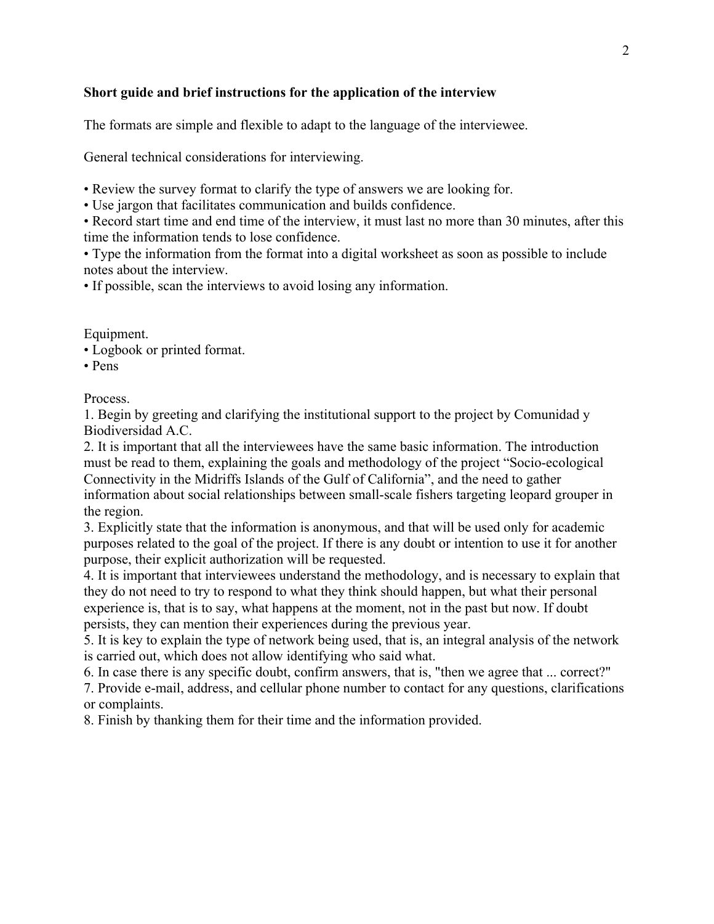## **Short guide and brief instructions for the application of the interview**

The formats are simple and flexible to adapt to the language of the interviewee.

General technical considerations for interviewing.

• Review the survey format to clarify the type of answers we are looking for.

• Use jargon that facilitates communication and builds confidence.

• Record start time and end time of the interview, it must last no more than 30 minutes, after this time the information tends to lose confidence.

• Type the information from the format into a digital worksheet as soon as possible to include notes about the interview.

• If possible, scan the interviews to avoid losing any information.

Equipment.

• Logbook or printed format.

• Pens

Process.

1. Begin by greeting and clarifying the institutional support to the project by Comunidad y Biodiversidad A.C.

2. It is important that all the interviewees have the same basic information. The introduction must be read to them, explaining the goals and methodology of the project "Socio-ecological Connectivity in the Midriffs Islands of the Gulf of California", and the need to gather information about social relationships between small-scale fishers targeting leopard grouper in the region.

3. Explicitly state that the information is anonymous, and that will be used only for academic purposes related to the goal of the project. If there is any doubt or intention to use it for another purpose, their explicit authorization will be requested.

4. It is important that interviewees understand the methodology, and is necessary to explain that they do not need to try to respond to what they think should happen, but what their personal experience is, that is to say, what happens at the moment, not in the past but now. If doubt persists, they can mention their experiences during the previous year.

5. It is key to explain the type of network being used, that is, an integral analysis of the network is carried out, which does not allow identifying who said what.

6. In case there is any specific doubt, confirm answers, that is, "then we agree that ... correct?"

7. Provide e-mail, address, and cellular phone number to contact for any questions, clarifications or complaints.

8. Finish by thanking them for their time and the information provided.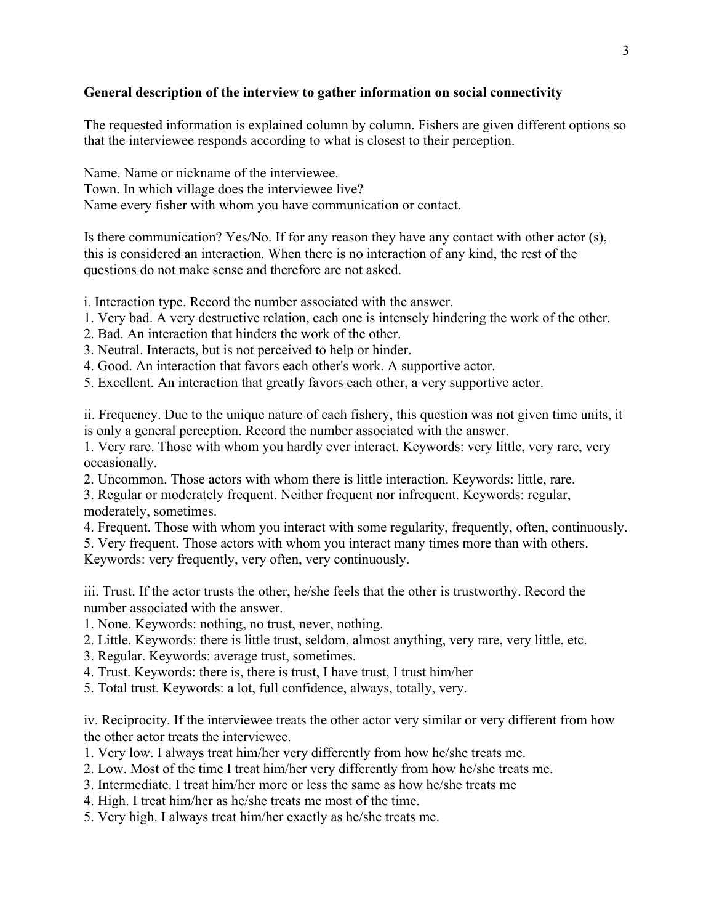## **General description of the interview to gather information on social connectivity**

The requested information is explained column by column. Fishers are given different options so that the interviewee responds according to what is closest to their perception.

Name. Name or nickname of the interviewee. Town. In which village does the interviewee live? Name every fisher with whom you have communication or contact.

Is there communication? Yes/No. If for any reason they have any contact with other actor (s), this is considered an interaction. When there is no interaction of any kind, the rest of the questions do not make sense and therefore are not asked.

i. Interaction type. Record the number associated with the answer.

- 1. Very bad. A very destructive relation, each one is intensely hindering the work of the other.
- 2. Bad. An interaction that hinders the work of the other.
- 3. Neutral. Interacts, but is not perceived to help or hinder.
- 4. Good. An interaction that favors each other's work. A supportive actor.
- 5. Excellent. An interaction that greatly favors each other, a very supportive actor.

ii. Frequency. Due to the unique nature of each fishery, this question was not given time units, it is only a general perception. Record the number associated with the answer.

1. Very rare. Those with whom you hardly ever interact. Keywords: very little, very rare, very occasionally.

2. Uncommon. Those actors with whom there is little interaction. Keywords: little, rare.

3. Regular or moderately frequent. Neither frequent nor infrequent. Keywords: regular, moderately, sometimes.

4. Frequent. Those with whom you interact with some regularity, frequently, often, continuously.

5. Very frequent. Those actors with whom you interact many times more than with others.

Keywords: very frequently, very often, very continuously.

iii. Trust. If the actor trusts the other, he/she feels that the other is trustworthy. Record the number associated with the answer.

- 1. None. Keywords: nothing, no trust, never, nothing.
- 2. Little. Keywords: there is little trust, seldom, almost anything, very rare, very little, etc.
- 3. Regular. Keywords: average trust, sometimes.
- 4. Trust. Keywords: there is, there is trust, I have trust, I trust him/her
- 5. Total trust. Keywords: a lot, full confidence, always, totally, very.

iv. Reciprocity. If the interviewee treats the other actor very similar or very different from how the other actor treats the interviewee.

- 1. Very low. I always treat him/her very differently from how he/she treats me.
- 2. Low. Most of the time I treat him/her very differently from how he/she treats me.
- 3. Intermediate. I treat him/her more or less the same as how he/she treats me
- 4. High. I treat him/her as he/she treats me most of the time.
- 5. Very high. I always treat him/her exactly as he/she treats me.